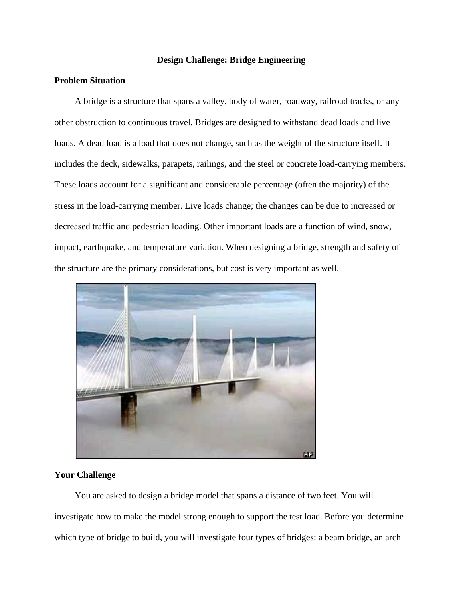### **Design Challenge: Bridge Engineering**

### **Problem Situation**

A bridge is a structure that spans a valley, body of water, roadway, railroad tracks, or any other obstruction to continuous travel. Bridges are designed to withstand dead loads and live loads. A dead load is a load that does not change, such as the weight of the structure itself. It includes the deck, sidewalks, parapets, railings, and the steel or concrete load-carrying members. These loads account for a significant and considerable percentage (often the majority) of the stress in the load-carrying member. Live loads change; the changes can be due to increased or decreased traffic and pedestrian loading. Other important loads are a function of wind, snow, impact, earthquake, and temperature variation. When designing a bridge, strength and safety of the structure are the primary considerations, but cost is very important as well.



## **Your Challenge**

You are asked to design a bridge model that spans a distance of two feet. You will investigate how to make the model strong enough to support the test load. Before you determine which type of bridge to build, you will investigate four types of bridges: a beam bridge, an arch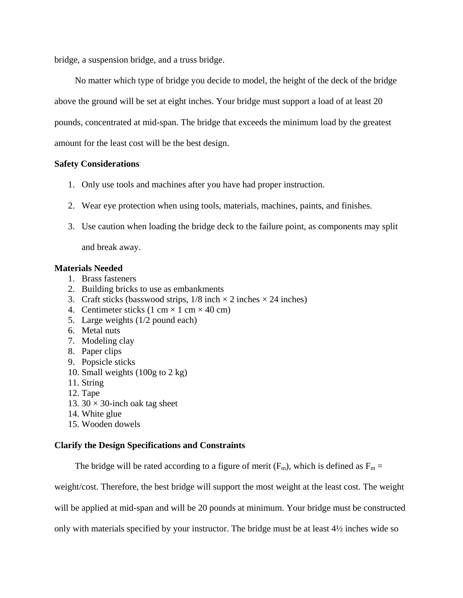bridge, a suspension bridge, and a truss bridge.

No matter which type of bridge you decide to model, the height of the deck of the bridge above the ground will be set at eight inches. Your bridge must support a load of at least 20 pounds, concentrated at mid-span. The bridge that exceeds the minimum load by the greatest amount for the least cost will be the best design.

### **Safety Considerations**

- 1. Only use tools and machines after you have had proper instruction.
- 2. Wear eye protection when using tools, materials, machines, paints, and finishes.
- 3. Use caution when loading the bridge deck to the failure point, as components may split

and break away.

### **Materials Needed**

- 1. Brass fasteners
- 2. Building bricks to use as embankments
- 3. Craft sticks (basswood strips,  $1/8$  inch  $\times$  2 inches  $\times$  24 inches)
- 4. Centimeter sticks  $(1 \text{ cm} \times 1 \text{ cm} \times 40 \text{ cm})$
- 5. Large weights (1/2 pound each)
- 6. Metal nuts
- 7. Modeling clay
- 8. Paper clips
- 9. Popsicle sticks
- 10. Small weights (100g to 2 kg)
- 11. String
- 12. Tape
- 13.  $30 \times 30$ -inch oak tag sheet
- 14. White glue
- 15. Wooden dowels

### **Clarify the Design Specifications and Constraints**

The bridge will be rated according to a figure of merit  $(F_m)$ , which is defined as  $F_m =$ 

weight/cost. Therefore, the best bridge will support the most weight at the least cost. The weight

will be applied at mid-span and will be 20 pounds at minimum. Your bridge must be constructed

only with materials specified by your instructor. The bridge must be at least 4½ inches wide so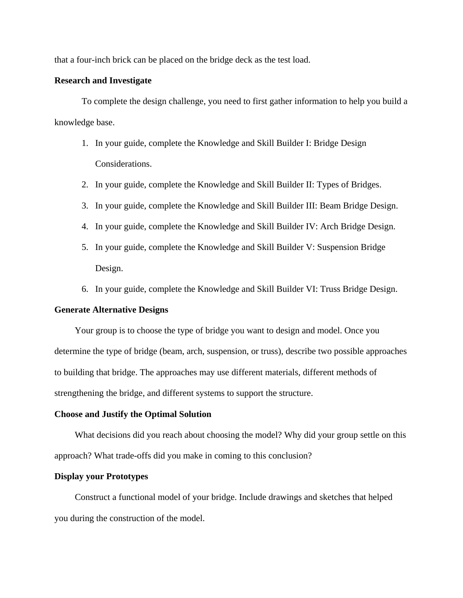that a four-inch brick can be placed on the bridge deck as the test load.

#### **Research and Investigate**

 To complete the design challenge, you need to first gather information to help you build a knowledge base.

- 1. In your guide, complete the Knowledge and Skill Builder I: Bridge Design Considerations.
- 2. In your guide, complete the Knowledge and Skill Builder II: Types of Bridges.
- 3. In your guide, complete the Knowledge and Skill Builder III: Beam Bridge Design.
- 4. In your guide, complete the Knowledge and Skill Builder IV: Arch Bridge Design.
- 5. In your guide, complete the Knowledge and Skill Builder V: Suspension Bridge Design.
- 6. In your guide, complete the Knowledge and Skill Builder VI: Truss Bridge Design.

#### **Generate Alternative Designs**

Your group is to choose the type of bridge you want to design and model. Once you determine the type of bridge (beam, arch, suspension, or truss), describe two possible approaches to building that bridge. The approaches may use different materials, different methods of strengthening the bridge, and different systems to support the structure.

#### **Choose and Justify the Optimal Solution**

What decisions did you reach about choosing the model? Why did your group settle on this approach? What trade-offs did you make in coming to this conclusion?

#### **Display your Prototypes**

Construct a functional model of your bridge. Include drawings and sketches that helped you during the construction of the model.